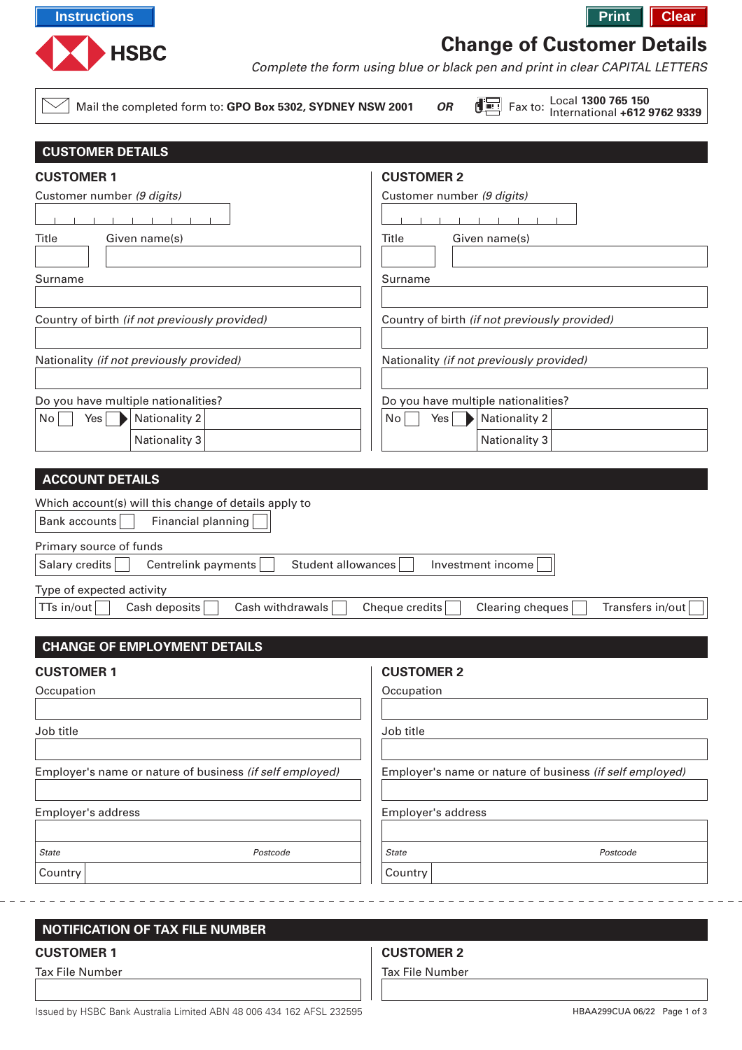

# **Change of Customer Details**

Complete the form using blue or black pen and print in clear CAPITAL LETTERS

 $\sqrt{ }$  Mail the completed form to: GPO Box 5302, SYDNEY NSW

| 2001 | ΟR | $\begin{bmatrix} \begin{bmatrix} \begin{bmatrix} \begin{bmatrix} \begin{bmatrix} \end{bmatrix} \end{bmatrix} \\ \end{bmatrix} \end{bmatrix} \end{bmatrix}$ Fax to: | L٥ |
|------|----|--------------------------------------------------------------------------------------------------------------------------------------------------------------------|----|
|      |    |                                                                                                                                                                    |    |

Local **1300 765 150**

| <b>CUSTOMER DETAILS</b>                                     |                                                          |
|-------------------------------------------------------------|----------------------------------------------------------|
| <b>CUSTOMER 1</b>                                           | <b>CUSTOMER 2</b>                                        |
| Customer number (9 digits)                                  | Customer number (9 digits)                               |
|                                                             |                                                          |
| Title<br>Given name(s)                                      | Title<br>Given name(s)                                   |
|                                                             |                                                          |
| Surname                                                     | Surname                                                  |
|                                                             |                                                          |
| Country of birth (if not previously provided)               | Country of birth (if not previously provided)            |
|                                                             |                                                          |
| Nationality (if not previously provided)                    | Nationality (if not previously provided)                 |
|                                                             |                                                          |
| Do you have multiple nationalities?                         | Do you have multiple nationalities?                      |
| No<br>Nationality 2<br>Yes                                  | No<br><b>Nationality 2</b><br>Yes                        |
| Nationality 3                                               | <b>Nationality 3</b>                                     |
|                                                             |                                                          |
| <b>ACCOUNT DETAILS</b>                                      |                                                          |
| Which account(s) will this change of details apply to       |                                                          |
| Financial planning<br>Bank accounts                         |                                                          |
| Primary source of funds                                     |                                                          |
| Salary credits<br>Centrelink payments<br>Student allowances | Investment income                                        |
| Type of expected activity                                   |                                                          |
| Cash withdrawals<br>TTs in/out<br>Cash deposits             | Cheque credits<br>Clearing cheques<br>Transfers in/out   |
|                                                             |                                                          |
| <b>CHANGE OF EMPLOYMENT DETAILS</b>                         |                                                          |
| <b>CUSTOMER 1</b>                                           | <b>CUSTOMER 2</b>                                        |
| Occupation                                                  | Occupation                                               |
|                                                             |                                                          |
| Job title                                                   | Job title                                                |
|                                                             |                                                          |
| Employer's name or nature of business (if self employed)    | Employer's name or nature of business (if self employed) |
|                                                             |                                                          |
| Employer's address                                          | Employer's address                                       |
|                                                             |                                                          |
| <b>State</b><br>Postcode                                    | Postcode<br><b>State</b>                                 |
| Country                                                     | Country                                                  |
|                                                             |                                                          |
|                                                             |                                                          |
| <b>NOTIFICATION OF TAX FILE NUMBER</b>                      |                                                          |

## **CUSTOMER 1**

Tax File Number

## **CUSTOMER 2**

Tax File Number

Issued by HSBC Bank Australia Limited ABN 48 006 434 162 AFSL 232595 HBAA299CUA 06/22 Page 1 of 3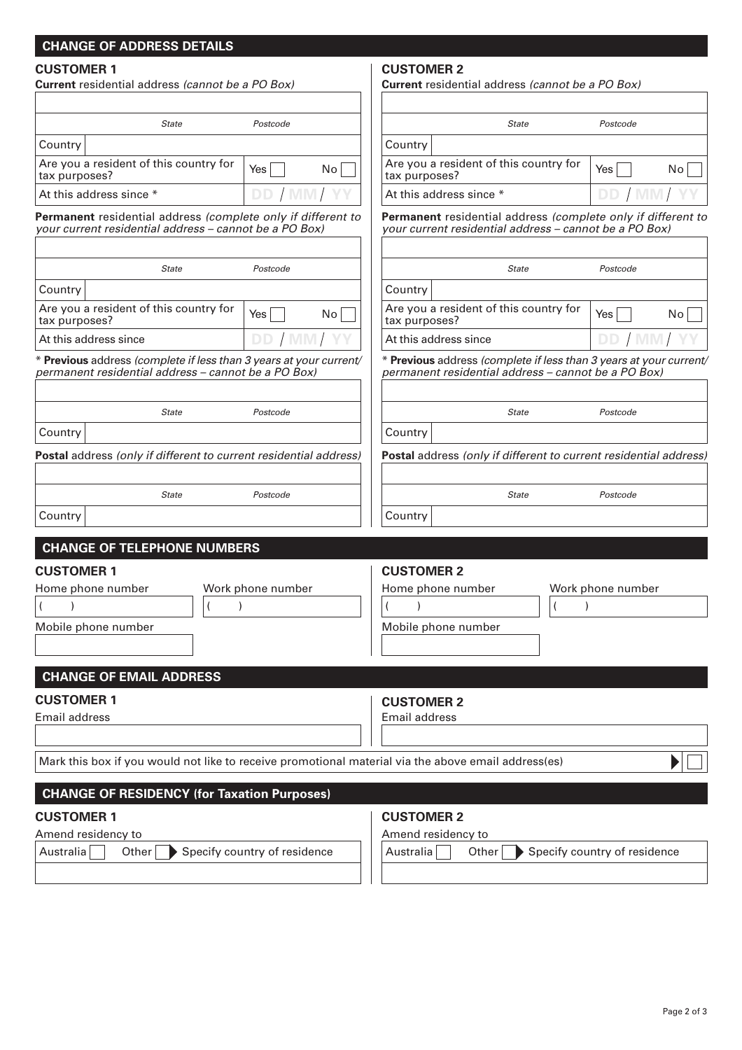# **CHANGE OF ADDRESS DETAILS**

# **CUSTOMER 1**

| <b>CUSTOMER 1</b><br>Current residential address (cannot be a PO Box)                                                     |                              | <b>CUSTOMER 2</b><br><b>Current</b> residential address (cannot be a PO Box)                                              |                              |
|---------------------------------------------------------------------------------------------------------------------------|------------------------------|---------------------------------------------------------------------------------------------------------------------------|------------------------------|
| <b>State</b>                                                                                                              | Postcode                     | <b>State</b>                                                                                                              | Postcode                     |
| Country                                                                                                                   |                              | Country                                                                                                                   |                              |
| Are you a resident of this country for<br>tax purposes?                                                                   | Yes<br>No <sub>1</sub>       | Are you a resident of this country for<br>tax purposes?                                                                   | Yes<br>No                    |
| At this address since *                                                                                                   | DD                           | At this address since *                                                                                                   | DE                           |
| Permanent residential address (complete only if different to<br>your current residential address - cannot be a PO Box)    |                              | Permanent residential address (complete only if different to<br>vour current residential address - cannot be a PO Box)    |                              |
| <b>State</b>                                                                                                              | Postcode                     | <b>State</b>                                                                                                              | Postcode                     |
| Country                                                                                                                   |                              | Country                                                                                                                   |                              |
| Are you a resident of this country for<br>tax purposes?                                                                   | Yes<br>No <sub>1</sub>       | Are you a resident of this country for<br>tax purposes?                                                                   | Yes  <br>No l                |
| At this address since                                                                                                     | DD / MM/                     | At this address since                                                                                                     | DD / MM                      |
| * Previous address (complete if less than 3 years at your current/<br>permanent residential address – cannot be a PO Box) |                              | * Previous address (complete if less than 3 years at your current/<br>permanent residential address – cannot be a PO Box) |                              |
| <b>State</b>                                                                                                              | Postcode                     | <b>State</b>                                                                                                              | Postcode                     |
| Country                                                                                                                   |                              | Country                                                                                                                   |                              |
| Postal address (only if different to current residential address)                                                         |                              | Postal address (only if different to current residential address)                                                         |                              |
| <b>State</b>                                                                                                              | Postcode                     | <b>State</b>                                                                                                              | Postcode                     |
| Country                                                                                                                   |                              | Country                                                                                                                   |                              |
| <b>CHANGE OF TELEPHONE NUMBERS</b>                                                                                        |                              |                                                                                                                           |                              |
| <b>CUSTOMER 1</b>                                                                                                         |                              | <b>CUSTOMER 2</b>                                                                                                         |                              |
| Home phone number                                                                                                         | Work phone number            | Home phone number                                                                                                         | Work phone number            |
|                                                                                                                           |                              |                                                                                                                           |                              |
| Mobile phone number                                                                                                       |                              | Mobile phone number                                                                                                       |                              |
|                                                                                                                           |                              |                                                                                                                           |                              |
| <b>CHANGE OF EMAIL ADDRESS</b>                                                                                            |                              |                                                                                                                           |                              |
| <b>CUSTOMER 1</b>                                                                                                         |                              |                                                                                                                           |                              |
| Email address                                                                                                             |                              | <b>CUSTOMER 2</b><br>Email address                                                                                        |                              |
|                                                                                                                           |                              |                                                                                                                           |                              |
| Mark this box if you would not like to receive promotional material via the above email address(es)                       |                              |                                                                                                                           |                              |
|                                                                                                                           |                              |                                                                                                                           |                              |
| <b>CHANGE OF RESIDENCY (for Taxation Purposes)</b>                                                                        |                              |                                                                                                                           |                              |
| <b>CUSTOMER 1</b>                                                                                                         |                              | <b>CUSTOMER 2</b>                                                                                                         |                              |
| Amend residency to<br>Australia<br>Other                                                                                  | Specify country of residence | Amend residency to<br>Australia<br>Other                                                                                  | Specify country of residence |
|                                                                                                                           |                              |                                                                                                                           |                              |
|                                                                                                                           |                              |                                                                                                                           |                              |